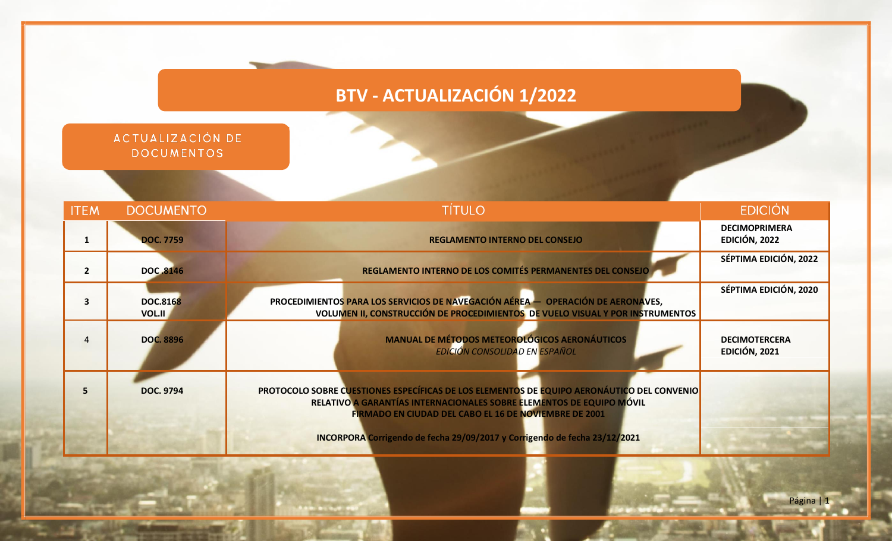## **BTV - ACTUALIZACIÓN 1/2022**

| ACTUALIZACIÓN DE |  |
|------------------|--|
| DOCUMENTOS       |  |

| <b>ITEM</b>    | <b>DOCUMENTO</b>          | <b>TÍTULO</b>                                                                                                                                                                                                               | <b>EDICIÓN</b>                        |
|----------------|---------------------------|-----------------------------------------------------------------------------------------------------------------------------------------------------------------------------------------------------------------------------|---------------------------------------|
| $\mathbf{1}$   | <b>DOC. 7759</b>          | <b>REGLAMENTO INTERNO DEL CONSEJO</b>                                                                                                                                                                                       | <b>DECIMOPRIMERA</b><br>EDICIÓN, 2022 |
| $\overline{2}$ | <b>DOC.8146</b>           | REGLAMENTO INTERNO DE LOS COMITÉS PERMANENTES DEL CONSEJO                                                                                                                                                                   | SÉPTIMA EDICIÓN, 2022                 |
| 3              | <b>DOC.8168</b><br>VOL.II | PROCEDIMIENTOS PARA LOS SERVICIOS DE NAVEGACIÓN AÉREA — OPERACIÓN DE AERONAVES,<br>VOLUMEN II, CONSTRUCCIÓN DE PROCEDIMIENTOS DE VUELO VISUAL Y POR INSTRUMENTOS                                                            | SÉPTIMA EDICIÓN, 2020                 |
| 4              | <b>DOC. 8896</b>          | <b>MANUAL DE MÉTODOS METEOROLÓGICOS AERONÁUTICOS</b><br><b>EDICIÓN CONSOLIDAD EN ESPAÑOL</b>                                                                                                                                | <b>DECIMOTERCERA</b><br>EDICIÓN, 2021 |
| 5              | <b>DOC. 9794</b>          | PROTOCOLO SOBRE CUESTIONES ESPECÍFICAS DE LOS ELEMENTOS DE EQUIPO AERONÁUTICO DEL CONVENIO<br>RELATIVO A GARANTÍAS INTERNACIONALES SOBRE ELEMENTOS DE EQUIPO MÓVIL<br>FIRMADO EN CIUDAD DEL CABO EL 16 DE NOVIEMBRE DE 2001 |                                       |
|                |                           | INCORPORA Corrigendo de fecha 29/09/2017 y Corrigendo de fecha 23/12/2021                                                                                                                                                   |                                       |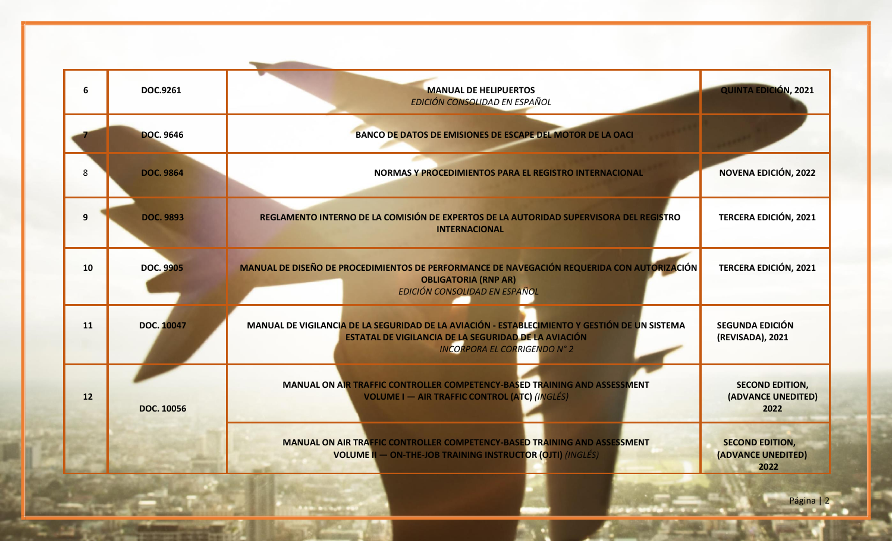| 6  | DOC.9261          | <b>MANUAL DE HELIPUERTOS</b><br>EDICIÓN CONSOLIDAD EN ESPAÑOL                                                                                                                                | <b>QUINTA EDICIÓN, 2021</b>                          |
|----|-------------------|----------------------------------------------------------------------------------------------------------------------------------------------------------------------------------------------|------------------------------------------------------|
|    | <b>DOC. 9646</b>  | <b>BANCO DE DATOS DE EMISIONES DE ESCAPE DEL MOTOR DE LA OACI</b>                                                                                                                            |                                                      |
| 8  | <b>DOC. 9864</b>  | NORMAS Y PROCEDIMIENTOS PARA EL REGISTRO INTERNACIONAL                                                                                                                                       | <b>NOVENA EDICIÓN, 2022</b>                          |
| 9  | <b>DOC. 9893</b>  | REGLAMENTO INTERNO DE LA COMISIÓN DE EXPERTOS DE LA AUTORIDAD SUPERVISORA DEL REGISTRO<br><b>INTERNACIONAL</b>                                                                               | <b>TERCERA EDICIÓN, 2021</b>                         |
| 10 | <b>DOC. 9905</b>  | MANUAL DE DISEÑO DE PROCEDIMIENTOS DE PERFORMANCE DE NAVEGACIÓN REQUERIDA CON AUTORIZACIÓN<br><b>OBLIGATORIA (RNP AR)</b><br>EDICIÓN CONSOLIDAD EN ESPAÑOL                                   | <b>TERCERA EDICIÓN, 2021</b>                         |
| 11 | <b>DOC. 10047</b> | MANUAL DE VIGILANCIA DE LA SEGURIDAD DE LA AVIACIÓN - ESTABLECIMIENTO Y GESTIÓN DE UN SISTEMA<br>ESTATAL DE VIGILANCIA DE LA SEGURIDAD DE LA AVIACIÓN<br><b>INCORPORA EL CORRIGENDO N° 2</b> | <b>SEGUNDA EDICIÓN</b><br>(REVISADA), 2021           |
| 12 | <b>DOC. 10056</b> | MANUAL ON AIR TRAFFIC CONTROLLER COMPETENCY-BASED TRAINING AND ASSESSMENT<br><b>VOLUME I - AIR TRAFFIC CONTROL (ATC) (INGLÉS)</b>                                                            | <b>SECOND EDITION,</b><br>(ADVANCE UNEDITED)<br>2022 |
|    |                   | <b>MANUAL ON AIR TRAFFIC CONTROLLER COMPETENCY-BASED TRAINING AND ASSESSMENT</b><br><b>VOLUME II - ON-THE-JOB TRAINING INSTRUCTOR (OJTI)</b> (INGLÉS)                                        | <b>SECOND EDITION,</b><br>(ADVANCE UNEDITED)<br>2022 |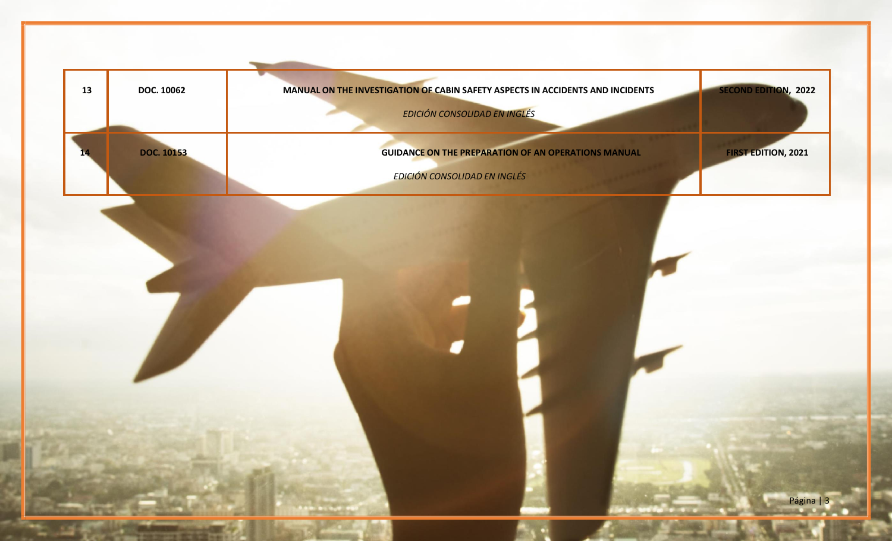| 13 | <b>DOC. 10062</b> | MANUAL ON THE INVESTIGATION OF CABIN SAFETY ASPECTS IN ACCIDENTS AND INCIDENTS | EDICIÓN CONSOLIDAD EN INGLÉS                               | <b>SECOND EDITION, 2022</b> |
|----|-------------------|--------------------------------------------------------------------------------|------------------------------------------------------------|-----------------------------|
| ю. | <b>DOC. 10153</b> | EDICIÓN CONSOLIDAD EN INGLÉS                                                   | <b>GUIDANCE ON THE PREPARATION OF AN OPERATIONS MANUAL</b> | <b>FIRST EDITION, 2021</b>  |
|    |                   |                                                                                |                                                            |                             |
|    |                   |                                                                                |                                                            |                             |
|    |                   |                                                                                |                                                            |                             |
|    |                   |                                                                                |                                                            |                             |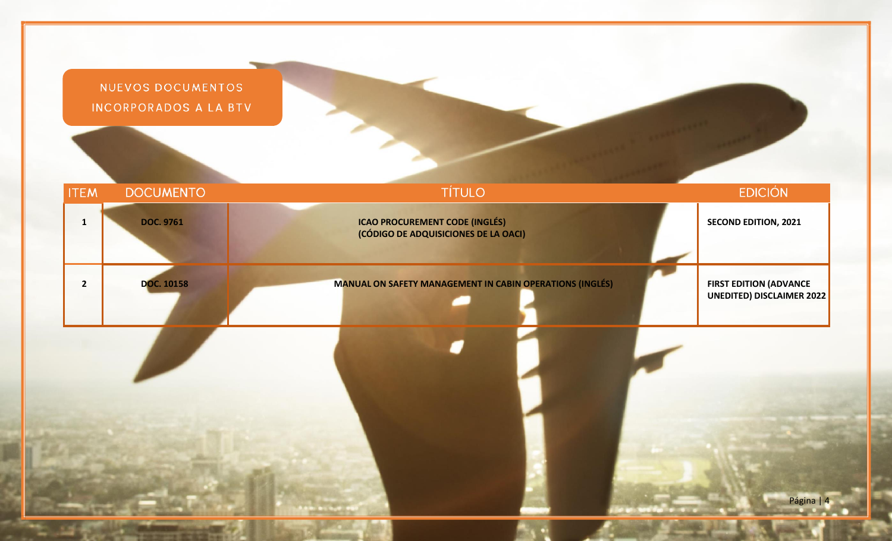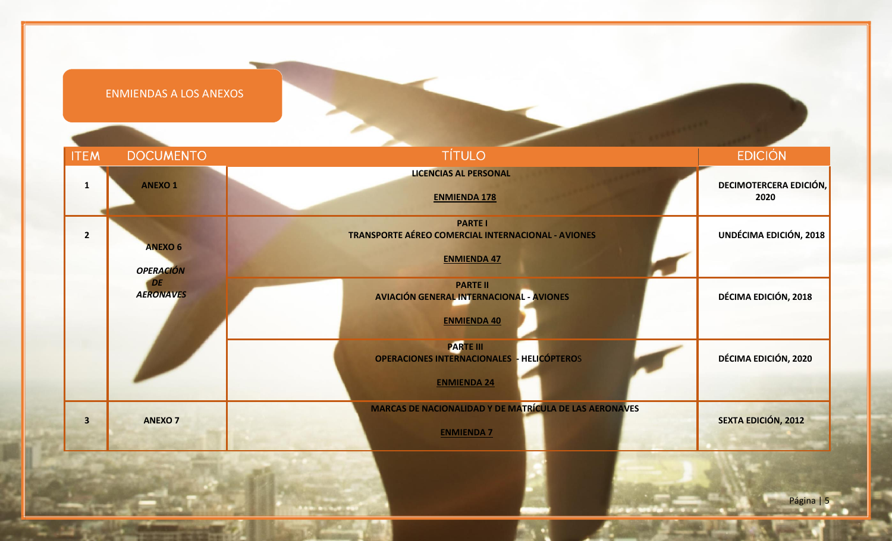| <b>ITEM</b>             | <b>DOCUMENTO</b>                   | <b>TÍTULO</b>                                                                              | <b>EDICIÓN</b>                 |
|-------------------------|------------------------------------|--------------------------------------------------------------------------------------------|--------------------------------|
| $\mathbf{1}$            | <b>ANEXO1</b>                      | <b>LICENCIAS AL PERSONAL</b><br><b>ENMIENDA 178</b>                                        | DECIMOTERCERA EDICIÓN,<br>2020 |
| $\overline{2}$          | <b>ANEXO 6</b><br><b>OPERACIÓN</b> | <b>PARTE I</b><br>TRANSPORTE AÉREO COMERCIAL INTERNACIONAL - AVIONES<br><b>ENMIENDA 47</b> | UNDÉCIMA EDICIÓN, 2018         |
|                         | DE<br><b>AERONAVES</b>             | <b>PARTE II</b><br>AVIACIÓN GENERAL INTERNACIONAL - AVIONES<br><b>ENMIENDA 40</b>          | DÉCIMA EDICIÓN, 2018           |
|                         |                                    | <b>PARTE III</b><br>OPERACIONES INTERNACIONALES - HELICÓPTEROS<br><b>ENMIENDA 24</b>       | DÉCIMA EDICIÓN, 2020           |
| $\overline{\mathbf{3}}$ | <b>ANEXO 7</b>                     | MARCAS DE NACIONALIDAD Y DE MATRÍCULA DE LAS AERONAVES<br><b>ENMIENDA 7</b>                | <b>SEXTA EDICIÓN, 2012</b>     |